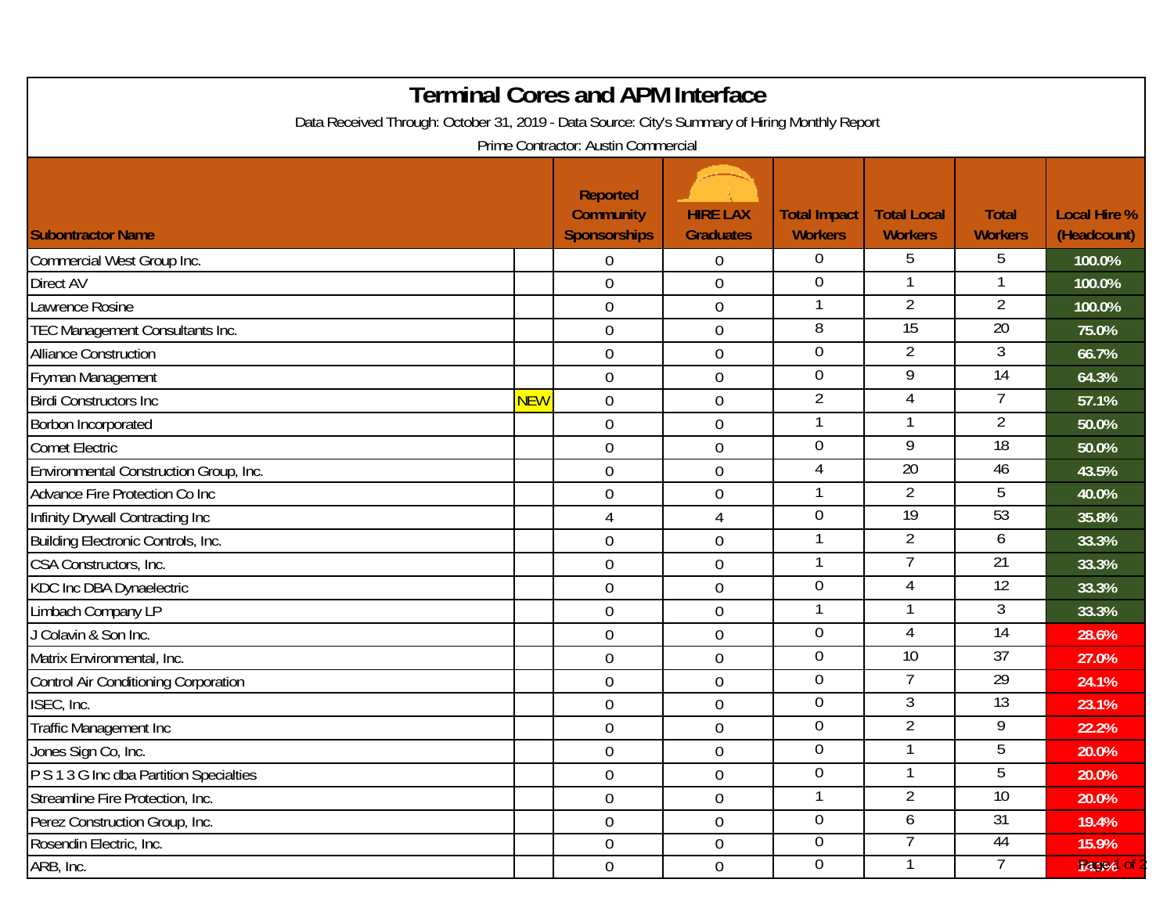| <b>Terminal Cores and APM Interface</b><br>Data Received Through: October 31, 2019 - Data Source: City's Summary of Hiring Monthly Report<br>Prime Contractor: Austin Commercial |     |                                                            |                                     |                                       |                                      |                                |                                    |  |  |  |  |  |
|----------------------------------------------------------------------------------------------------------------------------------------------------------------------------------|-----|------------------------------------------------------------|-------------------------------------|---------------------------------------|--------------------------------------|--------------------------------|------------------------------------|--|--|--|--|--|
| <b>Subontractor Name</b>                                                                                                                                                         |     | <b>Reported</b><br><b>Community</b><br><b>Sponsorships</b> | <b>HIRE LAX</b><br><b>Graduates</b> | <b>Total Impact</b><br><b>Workers</b> | <b>Total Local</b><br><b>Workers</b> | <b>Total</b><br><b>Workers</b> | <b>Local Hire %</b><br>(Headcount) |  |  |  |  |  |
| Commercial West Group Inc.                                                                                                                                                       |     | $\Omega$                                                   | $\mathbf 0$                         | $\overline{0}$                        | 5                                    | 5                              | 100.0%                             |  |  |  |  |  |
| <b>Direct AV</b>                                                                                                                                                                 |     | $\mathbf 0$                                                | $\boldsymbol{0}$                    | $\overline{0}$                        |                                      |                                | 100.0%                             |  |  |  |  |  |
| Lawrence Rosine                                                                                                                                                                  |     | $\overline{0}$                                             | $\boldsymbol{0}$                    |                                       | $\overline{2}$                       | $\overline{2}$                 | 100.0%                             |  |  |  |  |  |
| TEC Management Consultants Inc.                                                                                                                                                  |     | $\overline{0}$                                             | $\boldsymbol{0}$                    | 8                                     | 15                                   | $\overline{20}$                | 75.0%                              |  |  |  |  |  |
| <b>Alliance Construction</b>                                                                                                                                                     |     | $\overline{0}$                                             | $\boldsymbol{0}$                    | $\overline{0}$                        | $\overline{2}$                       | 3                              | 66.7%                              |  |  |  |  |  |
| Fryman Management                                                                                                                                                                |     | $\overline{0}$                                             | $\boldsymbol{0}$                    | 0                                     | 9                                    | 14                             | 64.3%                              |  |  |  |  |  |
| <b>Birdi Constructors Inc</b>                                                                                                                                                    | NEW | $\overline{0}$                                             | $\boldsymbol{0}$                    | $\overline{2}$                        | $\overline{4}$                       | 7                              | 57.1%                              |  |  |  |  |  |
| Borbon Incorporated                                                                                                                                                              |     | $\mathbf 0$                                                | $\mathbf 0$                         |                                       | 1                                    | $\overline{2}$                 | 50.0%                              |  |  |  |  |  |
| <b>Comet Electric</b>                                                                                                                                                            |     | $\mathbf 0$                                                | $\boldsymbol{0}$                    | $\mathbf 0$                           | 9                                    | $\overline{18}$                | 50.0%                              |  |  |  |  |  |
| Environmental Construction Group, Inc.                                                                                                                                           |     | $\mathbf 0$                                                | $\boldsymbol{0}$                    | 4                                     | $\overline{20}$                      | 46                             | 43.5%                              |  |  |  |  |  |
| Advance Fire Protection Co Inc                                                                                                                                                   |     | $\overline{0}$                                             | $\mathbf 0$                         |                                       | $\overline{2}$                       | 5                              | 40.0%                              |  |  |  |  |  |
| Infinity Drywall Contracting Inc                                                                                                                                                 |     | 4                                                          | $\overline{4}$                      | $\mathbf 0$                           | 19                                   | 53                             | 35.8%                              |  |  |  |  |  |
| Building Electronic Controls, Inc.                                                                                                                                               |     | $\mathbf 0$                                                | $\mathbf 0$                         | 1                                     | $\overline{2}$                       | 6                              | 33.3%                              |  |  |  |  |  |
| CSA Constructors, Inc.                                                                                                                                                           |     | $\boldsymbol{0}$                                           | $\boldsymbol{0}$                    |                                       |                                      | 21                             | 33.3%                              |  |  |  |  |  |
| <b>KDC Inc DBA Dynaelectric</b>                                                                                                                                                  |     | $\mathbf 0$                                                | $\boldsymbol{0}$                    | 0                                     | 4                                    | 12                             | 33.3%                              |  |  |  |  |  |
| Limbach Company LP                                                                                                                                                               |     | $\overline{0}$                                             | $\mathbf 0$                         | 1                                     | 1                                    | 3                              | 33.3%                              |  |  |  |  |  |
| J Colavin & Son Inc.                                                                                                                                                             |     | $\mathbf 0$                                                | $\mathbf 0$                         | 0                                     | 4                                    | 14                             | 28.6%                              |  |  |  |  |  |
| Matrix Environmental, Inc.                                                                                                                                                       |     | $\mathbf 0$                                                | $\boldsymbol{0}$                    | 0                                     | $\overline{10}$                      | $\overline{37}$                | 27.0%                              |  |  |  |  |  |
| Control Air Conditioning Corporation                                                                                                                                             |     | $\mathbf 0$                                                | $\mathbf 0$                         | $\mathbf 0$                           | $\overline{7}$                       | 29                             | 24.1%                              |  |  |  |  |  |
| ISEC, Inc.                                                                                                                                                                       |     | $\mathbf 0$                                                | $\boldsymbol{0}$                    | 0                                     | 3                                    | 13                             | 23.1%                              |  |  |  |  |  |
| Traffic Management Inc                                                                                                                                                           |     | $\mathbf 0$                                                | $\mathbf 0$                         | 0                                     | $\overline{2}$                       | 9                              | 22.2%                              |  |  |  |  |  |
| Jones Sign Co, Inc.                                                                                                                                                              |     | $\overline{0}$                                             | $\boldsymbol{0}$                    | $\overline{0}$                        |                                      | 5                              | 20.0%                              |  |  |  |  |  |
| P S 1 3 G Inc dba Partition Specialties                                                                                                                                          |     | $\overline{0}$                                             | $\boldsymbol{0}$                    | $\overline{0}$                        | 1                                    | 5                              | 20.0%                              |  |  |  |  |  |
| Streamline Fire Protection, Inc.                                                                                                                                                 |     | $\overline{0}$                                             | $\boldsymbol{0}$                    | 1                                     | $\overline{2}$                       | 10                             | 20.0%                              |  |  |  |  |  |
| Perez Construction Group, Inc.                                                                                                                                                   |     | $\mathbf 0$                                                | $\boldsymbol{0}$                    | $\overline{0}$                        | 6                                    | 31                             | 19.4%                              |  |  |  |  |  |
| Rosendin Electric, Inc.                                                                                                                                                          |     | $\overline{0}$                                             | $0\,$                               | $\overline{0}$                        |                                      | 44                             | 15.9%                              |  |  |  |  |  |
| ARB, Inc.                                                                                                                                                                        |     | $\overline{0}$                                             | $\boldsymbol{0}$                    | $\overline{0}$                        |                                      | 7                              | 14.3% of                           |  |  |  |  |  |